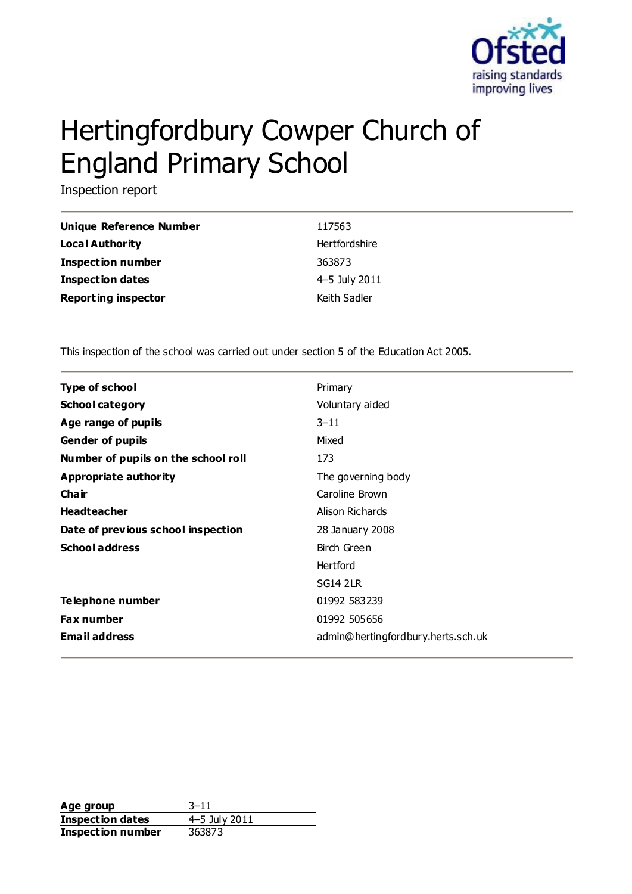

# Hertingfordbury Cowper Church of England Primary School

Inspection report

| Unique Reference Number    | 117563        |
|----------------------------|---------------|
| <b>Local Authority</b>     | Hertfordshire |
| <b>Inspection number</b>   | 363873        |
| Inspection dates           | 4–5 July 2011 |
| <b>Reporting inspector</b> | Keith Sadler  |

This inspection of the school was carried out under section 5 of the Education Act 2005.

| <b>Type of school</b>               | Primary                            |
|-------------------------------------|------------------------------------|
| <b>School category</b>              | Voluntary aided                    |
| Age range of pupils                 | $3 - 11$                           |
| <b>Gender of pupils</b>             | Mixed                              |
| Number of pupils on the school roll | 173                                |
| Appropriate authority               | The governing body                 |
| Cha ir                              | Caroline Brown                     |
| <b>Headteacher</b>                  | Alison Richards                    |
| Date of previous school inspection  | 28 January 2008                    |
| <b>School address</b>               | Birch Green                        |
|                                     | Hertford                           |
|                                     | <b>SG14 2LR</b>                    |
| Telephone number                    | 01992 583239                       |
| <b>Fax number</b>                   | 01992 505656                       |
| <b>Email address</b>                | admin@hertingfordbury.herts.sch.uk |

**Age group** 3–11 **Inspection dates** 4–5 July 2011 **Inspection number** 363873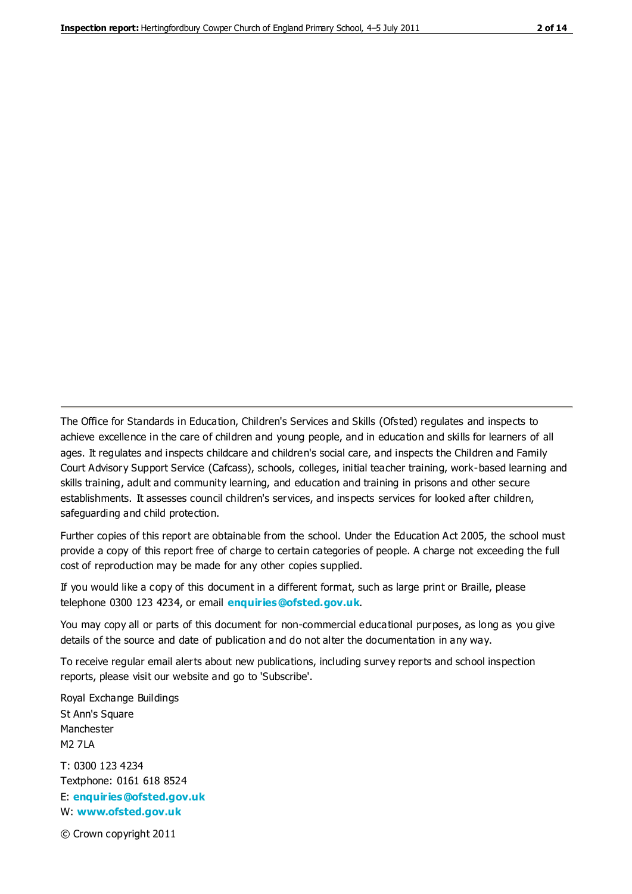The Office for Standards in Education, Children's Services and Skills (Ofsted) regulates and inspects to achieve excellence in the care of children and young people, and in education and skills for learners of all ages. It regulates and inspects childcare and children's social care, and inspects the Children and Family Court Advisory Support Service (Cafcass), schools, colleges, initial teacher training, work-based learning and skills training, adult and community learning, and education and training in prisons and other secure establishments. It assesses council children's services, and inspects services for looked after children, safeguarding and child protection.

Further copies of this report are obtainable from the school. Under the Education Act 2005, the school must provide a copy of this report free of charge to certain categories of people. A charge not exceeding the full cost of reproduction may be made for any other copies supplied.

If you would like a copy of this document in a different format, such as large print or Braille, please telephone 0300 123 4234, or email **[enquiries@ofsted.gov.uk](mailto:enquiries@ofsted.gov.uk)**.

You may copy all or parts of this document for non-commercial educational purposes, as long as you give details of the source and date of publication and do not alter the documentation in any way.

To receive regular email alerts about new publications, including survey reports and school inspection reports, please visit our website and go to 'Subscribe'.

Royal Exchange Buildings St Ann's Square Manchester M2 7LA T: 0300 123 4234 Textphone: 0161 618 8524 E: **[enquiries@ofsted.gov.uk](mailto:enquiries@ofsted.gov.uk)**

W: **[www.ofsted.gov.uk](http://www.ofsted.gov.uk/)**

© Crown copyright 2011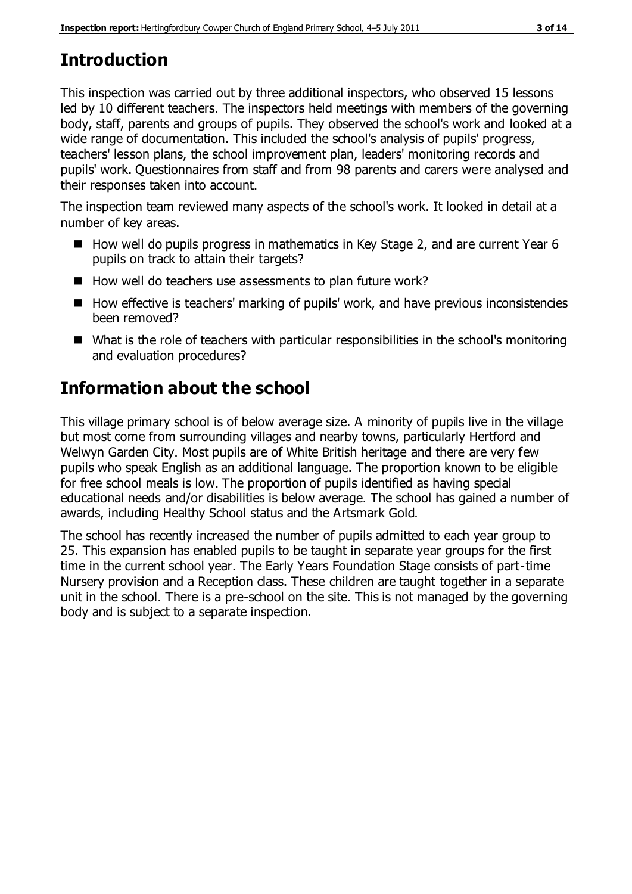# **Introduction**

This inspection was carried out by three additional inspectors, who observed 15 lessons led by 10 different teachers. The inspectors held meetings with members of the governing body, staff, parents and groups of pupils. They observed the school's work and looked at a wide range of documentation. This included the school's analysis of pupils' progress, teachers' lesson plans, the school improvement plan, leaders' monitoring records and pupils' work. Questionnaires from staff and from 98 parents and carers were analysed and their responses taken into account.

The inspection team reviewed many aspects of the school's work. It looked in detail at a number of key areas.

- How well do pupils progress in mathematics in Key Stage 2, and are current Year 6 pupils on track to attain their targets?
- How well do teachers use assessments to plan future work?
- How effective is teachers' marking of pupils' work, and have previous inconsistencies been removed?
- What is the role of teachers with particular responsibilities in the school's monitoring and evaluation procedures?

# **Information about the school**

This village primary school is of below average size. A minority of pupils live in the village but most come from surrounding villages and nearby towns, particularly Hertford and Welwyn Garden City. Most pupils are of White British heritage and there are very few pupils who speak English as an additional language. The proportion known to be eligible for free school meals is low. The proportion of pupils identified as having special educational needs and/or disabilities is below average. The school has gained a number of awards, including Healthy School status and the Artsmark Gold.

The school has recently increased the number of pupils admitted to each year group to 25. This expansion has enabled pupils to be taught in separate year groups for the first time in the current school year. The Early Years Foundation Stage consists of part-time Nursery provision and a Reception class. These children are taught together in a separate unit in the school. There is a pre-school on the site. This is not managed by the governing body and is subject to a separate inspection.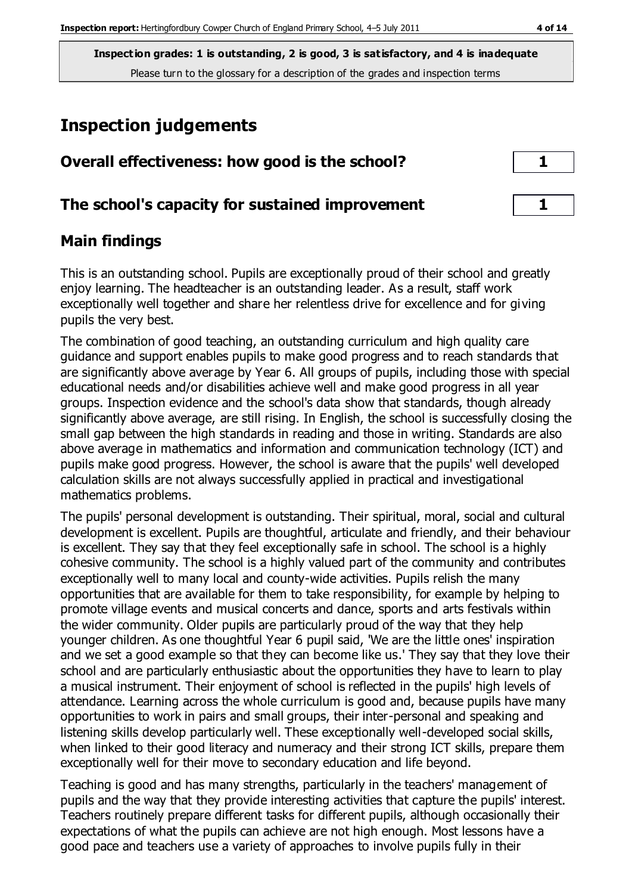# **Inspection judgements**

| Overall effectiveness: how good is the school?  | $\mathbf{1}$ |
|-------------------------------------------------|--------------|
| The school's capacity for sustained improvement |              |

# **Main findings**

This is an outstanding school. Pupils are exceptionally proud of their school and greatly enjoy learning. The headteacher is an outstanding leader. As a result, staff work exceptionally well together and share her relentless drive for excellence and for giving pupils the very best.

The combination of good teaching, an outstanding curriculum and high quality care guidance and support enables pupils to make good progress and to reach standards that are significantly above average by Year 6. All groups of pupils, including those with special educational needs and/or disabilities achieve well and make good progress in all year groups. Inspection evidence and the school's data show that standards, though already significantly above average, are still rising. In English, the school is successfully closing the small gap between the high standards in reading and those in writing. Standards are also above average in mathematics and information and communication technology (ICT) and pupils make good progress. However, the school is aware that the pupils' well developed calculation skills are not always successfully applied in practical and investigational mathematics problems.

The pupils' personal development is outstanding. Their spiritual, moral, social and cultural development is excellent. Pupils are thoughtful, articulate and friendly, and their behaviour is excellent. They say that they feel exceptionally safe in school. The school is a highly cohesive community. The school is a highly valued part of the community and contributes exceptionally well to many local and county-wide activities. Pupils relish the many opportunities that are available for them to take responsibility, for example by helping to promote village events and musical concerts and dance, sports and arts festivals within the wider community. Older pupils are particularly proud of the way that they help younger children. As one thoughtful Year 6 pupil said, 'We are the little ones' inspiration and we set a good example so that they can become like us.' They say that they love their school and are particularly enthusiastic about the opportunities they have to learn to play a musical instrument. Their enjoyment of school is reflected in the pupils' high levels of attendance. Learning across the whole curriculum is good and, because pupils have many opportunities to work in pairs and small groups, their inter-personal and speaking and listening skills develop particularly well. These exceptionally well-developed social skills, when linked to their good literacy and numeracy and their strong ICT skills, prepare them exceptionally well for their move to secondary education and life beyond.

Teaching is good and has many strengths, particularly in the teachers' management of pupils and the way that they provide interesting activities that capture the pupils' interest. Teachers routinely prepare different tasks for different pupils, although occasionally their expectations of what the pupils can achieve are not high enough. Most lessons have a good pace and teachers use a variety of approaches to involve pupils fully in their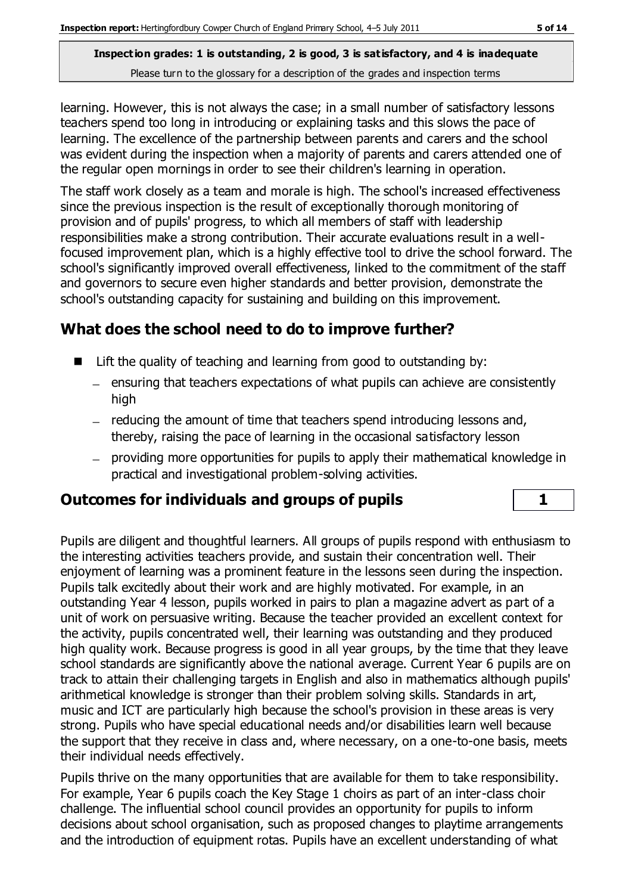learning. However, this is not always the case; in a small number of satisfactory lessons teachers spend too long in introducing or explaining tasks and this slows the pace of learning. The excellence of the partnership between parents and carers and the school was evident during the inspection when a majority of parents and carers attended one of the regular open mornings in order to see their children's learning in operation.

The staff work closely as a team and morale is high. The school's increased effectiveness since the previous inspection is the result of exceptionally thorough monitoring of provision and of pupils' progress, to which all members of staff with leadership responsibilities make a strong contribution. Their accurate evaluations result in a wellfocused improvement plan, which is a highly effective tool to drive the school forward. The school's significantly improved overall effectiveness, linked to the commitment of the staff and governors to secure even higher standards and better provision, demonstrate the school's outstanding capacity for sustaining and building on this improvement.

# **What does the school need to do to improve further?**

- $\blacksquare$  Lift the quality of teaching and learning from good to outstanding by:
	- $-$  ensuring that teachers expectations of what pupils can achieve are consistently high
	- reducing the amount of time that teachers spend introducing lessons and, thereby, raising the pace of learning in the occasional satisfactory lesson
	- providing more opportunities for pupils to apply their mathematical knowledge in practical and investigational problem-solving activities.

# **Outcomes for individuals and groups of pupils 1**

Pupils are diligent and thoughtful learners. All groups of pupils respond with enthusiasm to the interesting activities teachers provide, and sustain their concentration well. Their enjoyment of learning was a prominent feature in the lessons seen during the inspection. Pupils talk excitedly about their work and are highly motivated. For example, in an outstanding Year 4 lesson, pupils worked in pairs to plan a magazine advert as part of a unit of work on persuasive writing. Because the teacher provided an excellent context for the activity, pupils concentrated well, their learning was outstanding and they produced high quality work. Because progress is good in all year groups, by the time that they leave school standards are significantly above the national average. Current Year 6 pupils are on track to attain their challenging targets in English and also in mathematics although pupils' arithmetical knowledge is stronger than their problem solving skills. Standards in art, music and ICT are particularly high because the school's provision in these areas is very strong. Pupils who have special educational needs and/or disabilities learn well because the support that they receive in class and, where necessary, on a one-to-one basis, meets their individual needs effectively.

Pupils thrive on the many opportunities that are available for them to take responsibility. For example, Year 6 pupils coach the Key Stage 1 choirs as part of an inter-class choir challenge. The influential school council provides an opportunity for pupils to inform decisions about school organisation, such as proposed changes to playtime arrangements and the introduction of equipment rotas. Pupils have an excellent understanding of what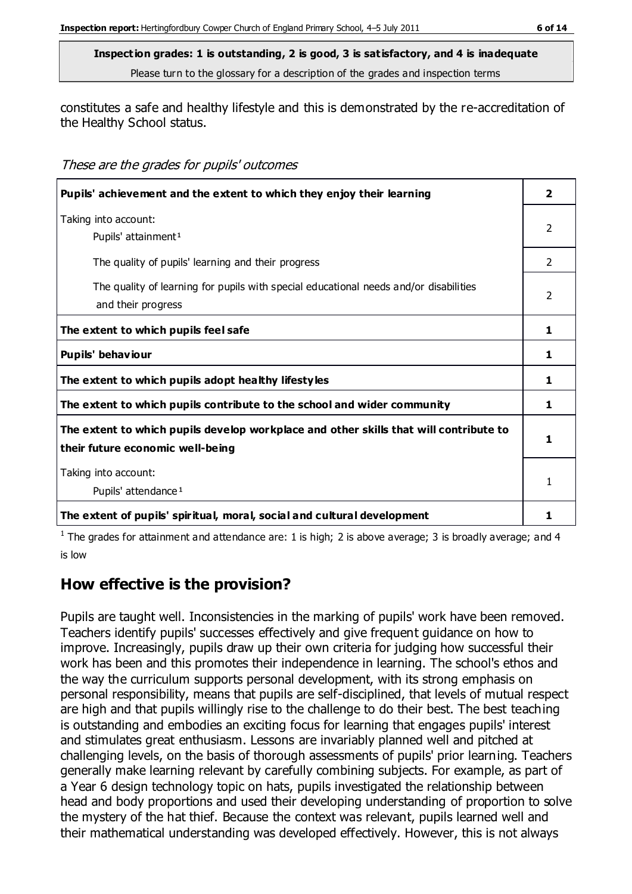constitutes a safe and healthy lifestyle and this is demonstrated by the re-accreditation of the Healthy School status.

These are the grades for pupils' outcomes

| Pupils' achievement and the extent to which they enjoy their learning                                                     | $\overline{\phantom{a}}$ |
|---------------------------------------------------------------------------------------------------------------------------|--------------------------|
| Taking into account:<br>Pupils' attainment <sup>1</sup>                                                                   | 2                        |
| The quality of pupils' learning and their progress                                                                        | 2                        |
| The quality of learning for pupils with special educational needs and/or disabilities<br>and their progress               | $\mathfrak{p}$           |
| The extent to which pupils feel safe                                                                                      | 1                        |
| Pupils' behaviour                                                                                                         | 1                        |
| The extent to which pupils adopt healthy lifestyles                                                                       | 1                        |
| The extent to which pupils contribute to the school and wider community                                                   | 1                        |
| The extent to which pupils develop workplace and other skills that will contribute to<br>their future economic well-being | 1                        |
| Taking into account:<br>Pupils' attendance <sup>1</sup>                                                                   |                          |
| The extent of pupils' spiritual, moral, social and cultural development                                                   |                          |

<sup>1</sup> The grades for attainment and attendance are: 1 is high; 2 is above average; 3 is broadly average; and 4 is low

# **How effective is the provision?**

Pupils are taught well. Inconsistencies in the marking of pupils' work have been removed. Teachers identify pupils' successes effectively and give frequent guidance on how to improve. Increasingly, pupils draw up their own criteria for judging how successful their work has been and this promotes their independence in learning. The school's ethos and the way the curriculum supports personal development, with its strong emphasis on personal responsibility, means that pupils are self-disciplined, that levels of mutual respect are high and that pupils willingly rise to the challenge to do their best. The best teaching is outstanding and embodies an exciting focus for learning that engages pupils' interest and stimulates great enthusiasm. Lessons are invariably planned well and pitched at challenging levels, on the basis of thorough assessments of pupils' prior learning. Teachers generally make learning relevant by carefully combining subjects. For example, as part of a Year 6 design technology topic on hats, pupils investigated the relationship between head and body proportions and used their developing understanding of proportion to solve the mystery of the hat thief. Because the context was relevant, pupils learned well and their mathematical understanding was developed effectively. However, this is not always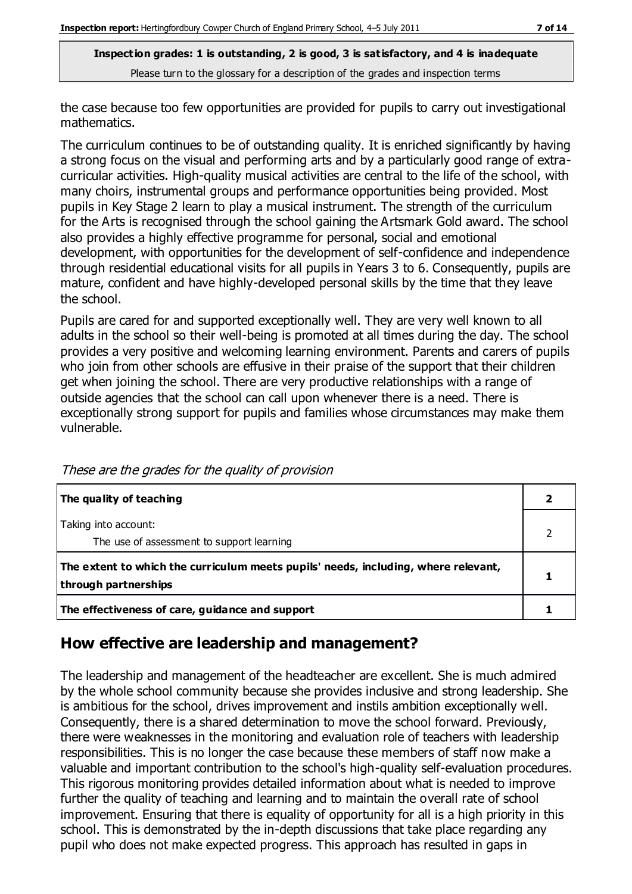the case because too few opportunities are provided for pupils to carry out investigational mathematics.

The curriculum continues to be of outstanding quality. It is enriched significantly by having a strong focus on the visual and performing arts and by a particularly good range of extracurricular activities. High-quality musical activities are central to the life of the school, with many choirs, instrumental groups and performance opportunities being provided. Most pupils in Key Stage 2 learn to play a musical instrument. The strength of the curriculum for the Arts is recognised through the school gaining the Artsmark Gold award. The school also provides a highly effective programme for personal, social and emotional development, with opportunities for the development of self-confidence and independence through residential educational visits for all pupils in Years 3 to 6. Consequently, pupils are mature, confident and have highly-developed personal skills by the time that they leave the school.

Pupils are cared for and supported exceptionally well. They are very well known to all adults in the school so their well-being is promoted at all times during the day. The school provides a very positive and welcoming learning environment. Parents and carers of pupils who join from other schools are effusive in their praise of the support that their children get when joining the school. There are very productive relationships with a range of outside agencies that the school can call upon whenever there is a need. There is exceptionally strong support for pupils and families whose circumstances may make them vulnerable.

| The quality of teaching                                                                                    |  |
|------------------------------------------------------------------------------------------------------------|--|
| Taking into account:<br>The use of assessment to support learning                                          |  |
| The extent to which the curriculum meets pupils' needs, including, where relevant,<br>through partnerships |  |
| The effectiveness of care, guidance and support                                                            |  |

These are the grades for the quality of provision

# **How effective are leadership and management?**

The leadership and management of the headteacher are excellent. She is much admired by the whole school community because she provides inclusive and strong leadership. She is ambitious for the school, drives improvement and instils ambition exceptionally well. Consequently, there is a shared determination to move the school forward. Previously, there were weaknesses in the monitoring and evaluation role of teachers with leadership responsibilities. This is no longer the case because these members of staff now make a valuable and important contribution to the school's high-quality self-evaluation procedures. This rigorous monitoring provides detailed information about what is needed to improve further the quality of teaching and learning and to maintain the overall rate of school improvement. Ensuring that there is equality of opportunity for all is a high priority in this school. This is demonstrated by the in-depth discussions that take place regarding any pupil who does not make expected progress. This approach has resulted in gaps in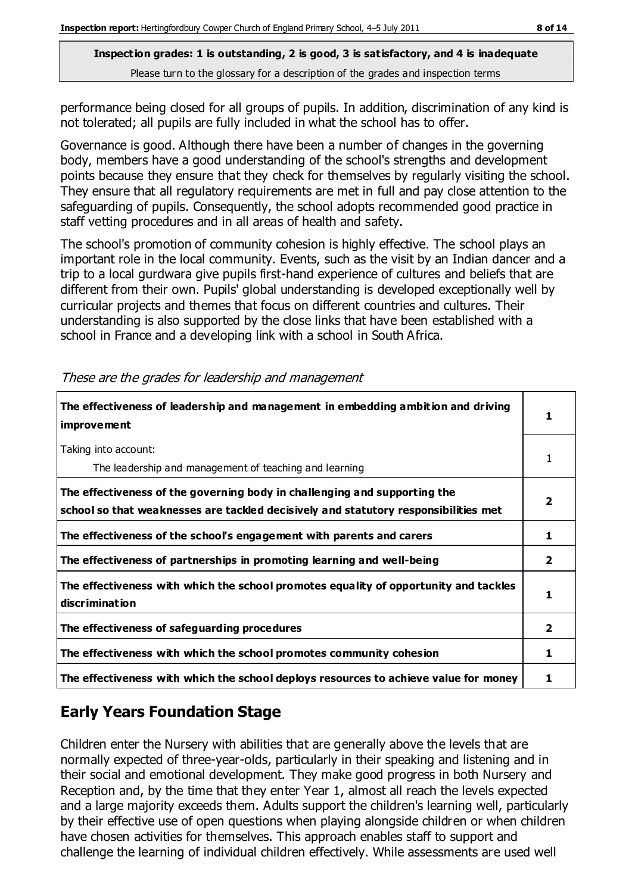performance being closed for all groups of pupils. In addition, discrimination of any kind is not tolerated; all pupils are fully included in what the school has to offer.

Governance is good. Although there have been a number of changes in the governing body, members have a good understanding of the school's strengths and development points because they ensure that they check for themselves by regularly visiting the school. They ensure that all regulatory requirements are met in full and pay close attention to the safeguarding of pupils. Consequently, the school adopts recommended good practice in staff vetting procedures and in all areas of health and safety.

The school's promotion of community cohesion is highly effective. The school plays an important role in the local community. Events, such as the visit by an Indian dancer and a trip to a local gurdwara give pupils first-hand experience of cultures and beliefs that are different from their own. Pupils' global understanding is developed exceptionally well by curricular projects and themes that focus on different countries and cultures. Their understanding is also supported by the close links that have been established with a school in France and a developing link with a school in South Africa.

| The effectiveness of leadership and management in embedding ambition and driving<br>improvement                                                                  |   |
|------------------------------------------------------------------------------------------------------------------------------------------------------------------|---|
| Taking into account:<br>The leadership and management of teaching and learning                                                                                   |   |
| The effectiveness of the governing body in challenging and supporting the<br>school so that weaknesses are tackled decisively and statutory responsibilities met |   |
| The effectiveness of the school's engagement with parents and carers                                                                                             |   |
| The effectiveness of partnerships in promoting learning and well-being                                                                                           | 2 |
| The effectiveness with which the school promotes equality of opportunity and tackles<br>discrimination                                                           |   |
| The effectiveness of safeguarding procedures                                                                                                                     | 2 |
| The effectiveness with which the school promotes community cohesion                                                                                              | 1 |
| The effectiveness with which the school deploys resources to achieve value for money                                                                             |   |

These are the grades for leadership and management

# **Early Years Foundation Stage**

Children enter the Nursery with abilities that are generally above the levels that are normally expected of three-year-olds, particularly in their speaking and listening and in their social and emotional development. They make good progress in both Nursery and Reception and, by the time that they enter Year 1, almost all reach the levels expected and a large majority exceeds them. Adults support the children's learning well, particularly by their effective use of open questions when playing alongside children or when children have chosen activities for themselves. This approach enables staff to support and challenge the learning of individual children effectively. While assessments are used well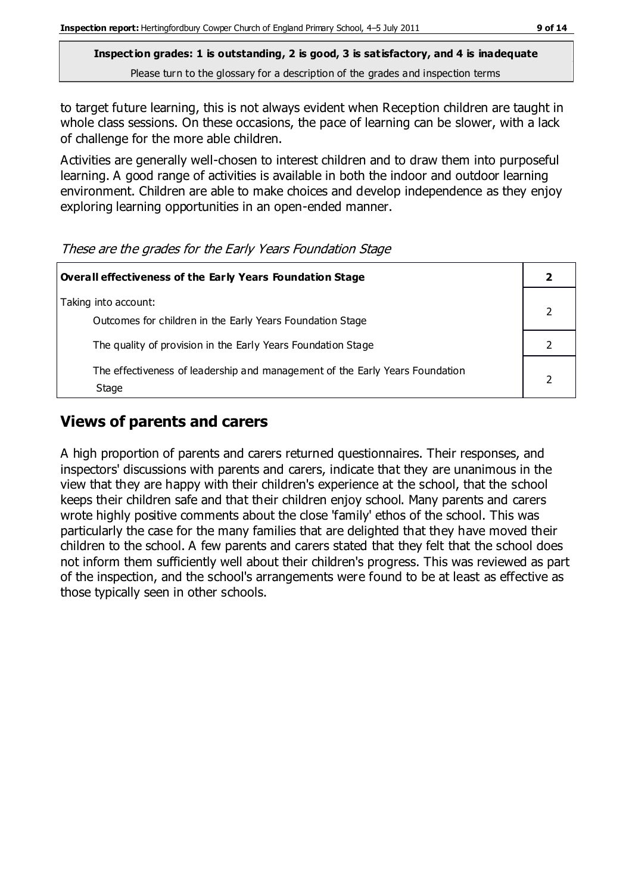to target future learning, this is not always evident when Reception children are taught in whole class sessions. On these occasions, the pace of learning can be slower, with a lack of challenge for the more able children.

Activities are generally well-chosen to interest children and to draw them into purposeful learning. A good range of activities is available in both the indoor and outdoor learning environment. Children are able to make choices and develop independence as they enjoy exploring learning opportunities in an open-ended manner.

#### These are the grades for the Early Years Foundation Stage

| <b>Overall effectiveness of the Early Years Foundation Stage</b>                      |  |
|---------------------------------------------------------------------------------------|--|
| Taking into account:<br>Outcomes for children in the Early Years Foundation Stage     |  |
| The quality of provision in the Early Years Foundation Stage                          |  |
| The effectiveness of leadership and management of the Early Years Foundation<br>Stage |  |

# **Views of parents and carers**

A high proportion of parents and carers returned questionnaires. Their responses, and inspectors' discussions with parents and carers, indicate that they are unanimous in the view that they are happy with their children's experience at the school, that the school keeps their children safe and that their children enjoy school. Many parents and carers wrote highly positive comments about the close 'family' ethos of the school. This was particularly the case for the many families that are delighted that they have moved their children to the school. A few parents and carers stated that they felt that the school does not inform them sufficiently well about their children's progress. This was reviewed as part of the inspection, and the school's arrangements were found to be at least as effective as those typically seen in other schools.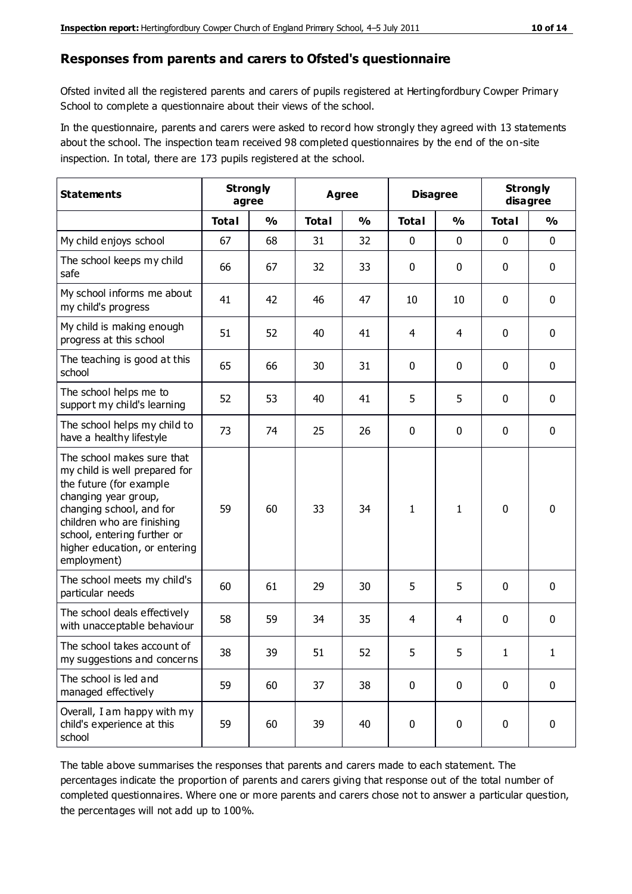#### **Responses from parents and carers to Ofsted's questionnaire**

Ofsted invited all the registered parents and carers of pupils registered at Hertingfordbury Cowper Primary School to complete a questionnaire about their views of the school.

In the questionnaire, parents and carers were asked to record how strongly they agreed with 13 statements about the school. The inspection team received 98 completed questionnaires by the end of the on-site inspection. In total, there are 173 pupils registered at the school.

| <b>Statements</b>                                                                                                                                                                                                                                       | <b>Strongly</b><br>agree |               | <b>Agree</b> |               | <b>Disagree</b> |               | <b>Strongly</b><br>disagree |               |
|---------------------------------------------------------------------------------------------------------------------------------------------------------------------------------------------------------------------------------------------------------|--------------------------|---------------|--------------|---------------|-----------------|---------------|-----------------------------|---------------|
|                                                                                                                                                                                                                                                         | <b>Total</b>             | $\frac{0}{0}$ | <b>Total</b> | $\frac{0}{0}$ | <b>Total</b>    | $\frac{0}{0}$ | <b>Total</b>                | $\frac{1}{2}$ |
| My child enjoys school                                                                                                                                                                                                                                  | 67                       | 68            | 31           | 32            | 0               | 0             | $\mathbf 0$                 | $\mathbf 0$   |
| The school keeps my child<br>safe                                                                                                                                                                                                                       | 66                       | 67            | 32           | 33            | 0               | 0             | $\mathbf 0$                 | $\mathbf 0$   |
| My school informs me about<br>my child's progress                                                                                                                                                                                                       | 41                       | 42            | 46           | 47            | 10              | 10            | $\mathbf 0$                 | $\mathbf 0$   |
| My child is making enough<br>progress at this school                                                                                                                                                                                                    | 51                       | 52            | 40           | 41            | 4               | 4             | $\mathbf 0$                 | $\mathbf 0$   |
| The teaching is good at this<br>school                                                                                                                                                                                                                  | 65                       | 66            | 30           | 31            | 0               | 0             | 0                           | $\mathbf 0$   |
| The school helps me to<br>support my child's learning                                                                                                                                                                                                   | 52                       | 53            | 40           | 41            | 5               | 5             | $\mathbf 0$                 | $\mathbf 0$   |
| The school helps my child to<br>have a healthy lifestyle                                                                                                                                                                                                | 73                       | 74            | 25           | 26            | 0               | $\mathbf 0$   | $\mathbf 0$                 | $\mathbf 0$   |
| The school makes sure that<br>my child is well prepared for<br>the future (for example<br>changing year group,<br>changing school, and for<br>children who are finishing<br>school, entering further or<br>higher education, or entering<br>employment) | 59                       | 60            | 33           | 34            | 1               | 1             | $\mathbf 0$                 | $\mathbf 0$   |
| The school meets my child's<br>particular needs                                                                                                                                                                                                         | 60                       | 61            | 29           | 30            | 5               | 5             | $\mathbf 0$                 | $\mathbf 0$   |
| The school deals effectively<br>with unacceptable behaviour                                                                                                                                                                                             | 58                       | 59            | 34           | 35            | 4               | 4             | $\mathbf 0$                 | 0             |
| The school takes account of<br>my suggestions and concerns                                                                                                                                                                                              | 38                       | 39            | 51           | 52            | 5               | 5             | 1                           | 1             |
| The school is led and<br>managed effectively                                                                                                                                                                                                            | 59                       | 60            | 37           | 38            | $\pmb{0}$       | $\mathbf 0$   | $\mathbf 0$                 | $\mathbf 0$   |
| Overall, I am happy with my<br>child's experience at this<br>school                                                                                                                                                                                     | 59                       | 60            | 39           | 40            | $\pmb{0}$       | $\pmb{0}$     | $\mathbf 0$                 | $\mathbf 0$   |

The table above summarises the responses that parents and carers made to each statement. The percentages indicate the proportion of parents and carers giving that response out of the total number of completed questionnaires. Where one or more parents and carers chose not to answer a particular question, the percentages will not add up to 100%.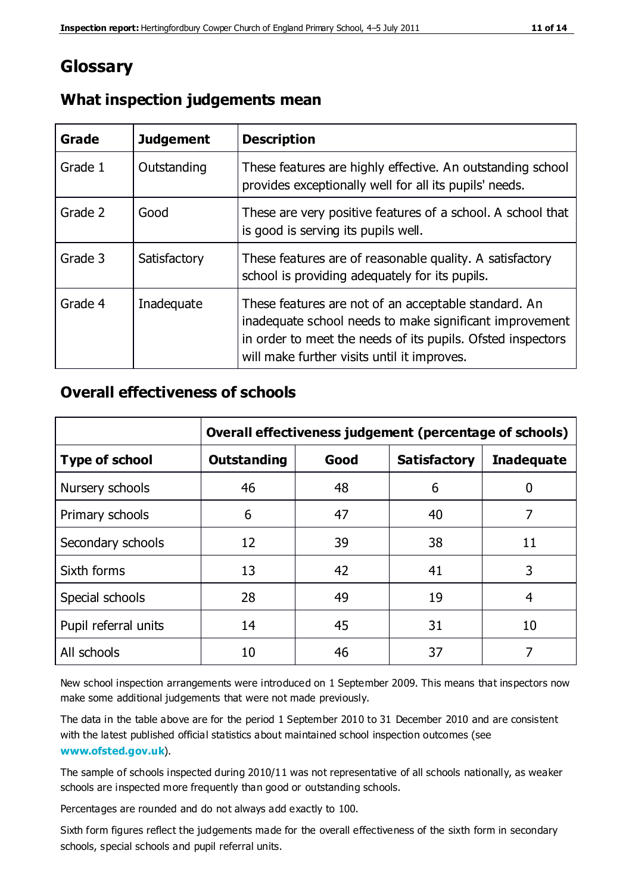# **Glossary**

| Grade   | <b>Judgement</b> | <b>Description</b>                                                                                                                                                                                                            |
|---------|------------------|-------------------------------------------------------------------------------------------------------------------------------------------------------------------------------------------------------------------------------|
| Grade 1 | Outstanding      | These features are highly effective. An outstanding school<br>provides exceptionally well for all its pupils' needs.                                                                                                          |
| Grade 2 | Good             | These are very positive features of a school. A school that<br>is good is serving its pupils well.                                                                                                                            |
| Grade 3 | Satisfactory     | These features are of reasonable quality. A satisfactory<br>school is providing adequately for its pupils.                                                                                                                    |
| Grade 4 | Inadequate       | These features are not of an acceptable standard. An<br>inadequate school needs to make significant improvement<br>in order to meet the needs of its pupils. Ofsted inspectors<br>will make further visits until it improves. |

### **What inspection judgements mean**

### **Overall effectiveness of schools**

|                       | Overall effectiveness judgement (percentage of schools) |      |                     |                   |
|-----------------------|---------------------------------------------------------|------|---------------------|-------------------|
| <b>Type of school</b> | <b>Outstanding</b>                                      | Good | <b>Satisfactory</b> | <b>Inadequate</b> |
| Nursery schools       | 46                                                      | 48   | 6                   |                   |
| Primary schools       | 6                                                       | 47   | 40                  | 7                 |
| Secondary schools     | 12                                                      | 39   | 38                  | 11                |
| Sixth forms           | 13                                                      | 42   | 41                  | 3                 |
| Special schools       | 28                                                      | 49   | 19                  | 4                 |
| Pupil referral units  | 14                                                      | 45   | 31                  | 10                |
| All schools           | 10                                                      | 46   | 37                  |                   |

New school inspection arrangements were introduced on 1 September 2009. This means that inspectors now make some additional judgements that were not made previously.

The data in the table above are for the period 1 September 2010 to 31 December 2010 and are consistent with the latest published official statistics about maintained school inspection outcomes (see **[www.ofsted.gov.uk](http://www.ofsted.gov.uk/)**).

The sample of schools inspected during 2010/11 was not representative of all schools nationally, as weaker schools are inspected more frequently than good or outstanding schools.

Percentages are rounded and do not always add exactly to 100.

Sixth form figures reflect the judgements made for the overall effectiveness of the sixth form in secondary schools, special schools and pupil referral units.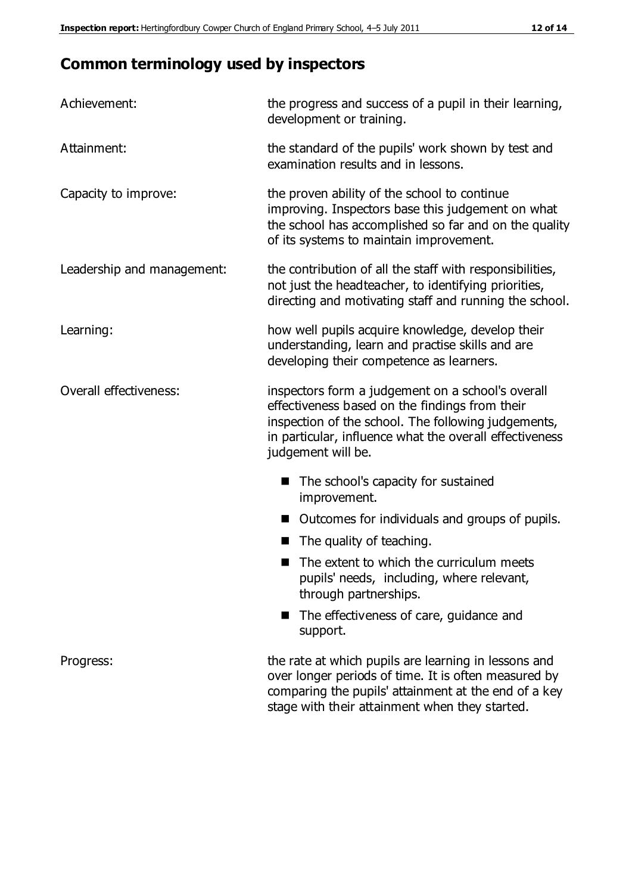# **Common terminology used by inspectors**

| Achievement:               | the progress and success of a pupil in their learning,<br>development or training.                                                                                                                                                          |
|----------------------------|---------------------------------------------------------------------------------------------------------------------------------------------------------------------------------------------------------------------------------------------|
| Attainment:                | the standard of the pupils' work shown by test and<br>examination results and in lessons.                                                                                                                                                   |
| Capacity to improve:       | the proven ability of the school to continue<br>improving. Inspectors base this judgement on what<br>the school has accomplished so far and on the quality<br>of its systems to maintain improvement.                                       |
| Leadership and management: | the contribution of all the staff with responsibilities,<br>not just the headteacher, to identifying priorities,<br>directing and motivating staff and running the school.                                                                  |
| Learning:                  | how well pupils acquire knowledge, develop their<br>understanding, learn and practise skills and are<br>developing their competence as learners.                                                                                            |
| Overall effectiveness:     | inspectors form a judgement on a school's overall<br>effectiveness based on the findings from their<br>inspection of the school. The following judgements,<br>in particular, influence what the overall effectiveness<br>judgement will be. |
|                            | The school's capacity for sustained<br>improvement.                                                                                                                                                                                         |
|                            | Outcomes for individuals and groups of pupils.                                                                                                                                                                                              |
|                            | The quality of teaching.                                                                                                                                                                                                                    |
|                            | The extent to which the curriculum meets<br>pupils' needs, including, where relevant,<br>through partnerships.                                                                                                                              |
|                            | The effectiveness of care, guidance and<br>support.                                                                                                                                                                                         |
| Progress:                  | the rate at which pupils are learning in lessons and<br>over longer periods of time. It is often measured by<br>comparing the pupils' attainment at the end of a key                                                                        |

stage with their attainment when they started.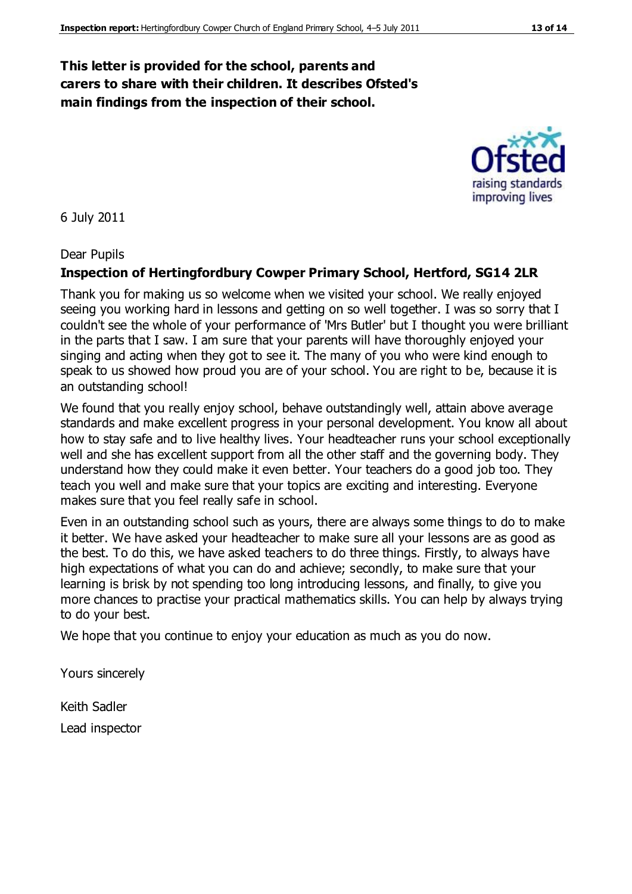### **This letter is provided for the school, parents and carers to share with their children. It describes Ofsted's main findings from the inspection of their school.**

6 July 2011

#### Dear Pupils

#### **Inspection of Hertingfordbury Cowper Primary School, Hertford, SG14 2LR**

Thank you for making us so welcome when we visited your school. We really enjoyed seeing you working hard in lessons and getting on so well together. I was so sorry that I couldn't see the whole of your performance of 'Mrs Butler' but I thought you were brilliant in the parts that I saw. I am sure that your parents will have thoroughly enjoyed your singing and acting when they got to see it. The many of you who were kind enough to speak to us showed how proud you are of your school. You are right to be, because it is an outstanding school!

We found that you really enjoy school, behave outstandingly well, attain above average standards and make excellent progress in your personal development. You know all about how to stay safe and to live healthy lives. Your headteacher runs your school exceptionally well and she has excellent support from all the other staff and the governing body. They understand how they could make it even better. Your teachers do a good job too. They teach you well and make sure that your topics are exciting and interesting. Everyone makes sure that you feel really safe in school.

Even in an outstanding school such as yours, there are always some things to do to make it better. We have asked your headteacher to make sure all your lessons are as good as the best. To do this, we have asked teachers to do three things. Firstly, to always have high expectations of what you can do and achieve; secondly, to make sure that your learning is brisk by not spending too long introducing lessons, and finally, to give you more chances to practise your practical mathematics skills. You can help by always trying to do your best.

We hope that you continue to enjoy your education as much as you do now.

Yours sincerely

Keith Sadler Lead inspector